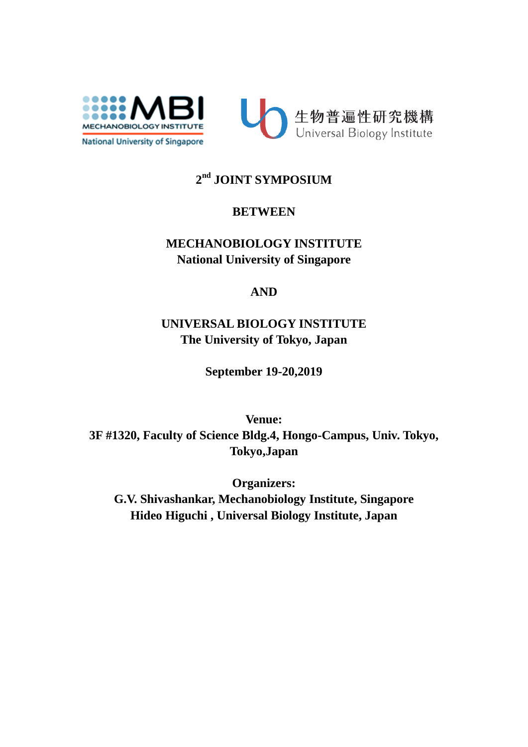



# **2 nd JOINT SYMPOSIUM**

## **BETWEEN**

# **MECHANOBIOLOGY INSTITUTE National University of Singapore**

### **AND**

# **UNIVERSAL BIOLOGY INSTITUTE The University of Tokyo, Japan**

**September 19-20,2019**

**Venue: 3F #1320, Faculty of Science Bldg.4, Hongo-Campus, Univ. Tokyo, Tokyo,Japan**

**Organizers: G.V. Shivashankar, Mechanobiology Institute, Singapore Hideo Higuchi , Universal Biology Institute, Japan**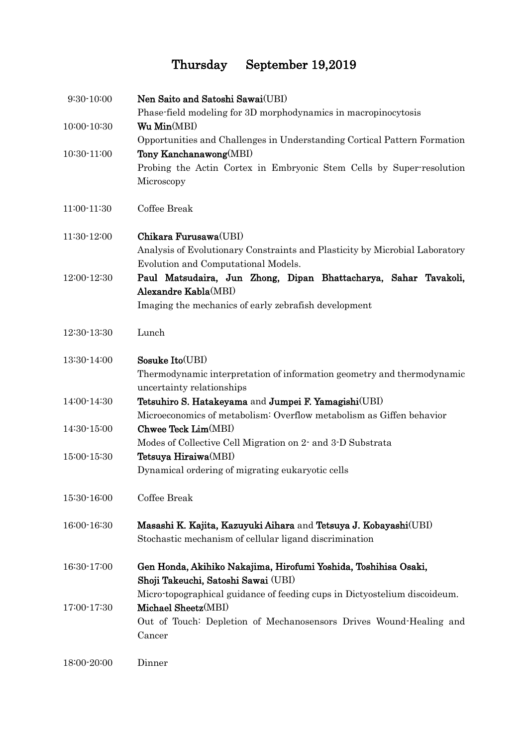# Thursday September 19,2019

| $9:30-10:00$ | Nen Saito and Satoshi Sawai(UBI)<br>Phase-field modeling for 3D morphodynamics in macropinocytosis                                           |
|--------------|----------------------------------------------------------------------------------------------------------------------------------------------|
| 10:00-10:30  | Wu Min(MBI)                                                                                                                                  |
| 10:30-11:00  | Opportunities and Challenges in Understanding Cortical Pattern Formation                                                                     |
|              | Tony Kanchanawong(MBI)<br>Probing the Actin Cortex in Embryonic Stem Cells by Super-resolution<br>Microscopy                                 |
| 11:00-11:30  | Coffee Break                                                                                                                                 |
| 11:30-12:00  | Chikara Furusawa (UBI)<br>Analysis of Evolutionary Constraints and Plasticity by Microbial Laboratory<br>Evolution and Computational Models. |
| 12:00-12:30  | Paul Matsudaira, Jun Zhong, Dipan Bhattacharya, Sahar Tavakoli,<br>Alexandre Kabla(MBI)                                                      |
|              | Imaging the mechanics of early zebrafish development                                                                                         |
| 12:30-13:30  | Lunch                                                                                                                                        |
| 13:30-14:00  | Sosuke Ito(UBI)                                                                                                                              |
|              | Thermodynamic interpretation of information geometry and thermodynamic                                                                       |
| 14:00-14:30  | uncertainty relationships<br>Tetsuhiro S. Hatakeyama and Jumpei F. Yamagishi(UBI)                                                            |
|              | Microeconomics of metabolism: Overflow metabolism as Giffen behavior                                                                         |
| 14:30-15:00  | Chwee Teck Lim(MBI)                                                                                                                          |
|              | Modes of Collective Cell Migration on 2- and 3-D Substrata                                                                                   |
| 15:00-15:30  | Tetsuya Hiraiwa(MBI)                                                                                                                         |
|              | Dynamical ordering of migrating eukaryotic cells                                                                                             |
| 15:30-16:00  | Coffee Break                                                                                                                                 |
| 16:00-16:30  | Masashi K. Kajita, Kazuyuki Aihara and Tetsuya J. Kobayashi (UBI)                                                                            |
|              | Stochastic mechanism of cellular ligand discrimination                                                                                       |
| 16:30-17:00  | Gen Honda, Akihiko Nakajima, Hirofumi Yoshida, Toshihisa Osaki,                                                                              |
|              | Shoji Takeuchi, Satoshi Sawai (UBI)                                                                                                          |
|              | Micro-topographical guidance of feeding cups in Dictyostelium discoideum.                                                                    |
| 17:00-17:30  | Michael Sheetz(MBI)<br>Out of Touch: Depletion of Mechanosensors Drives Wound-Healing and                                                    |
|              | Cancer                                                                                                                                       |
| 18:00-20:00  | Dinner                                                                                                                                       |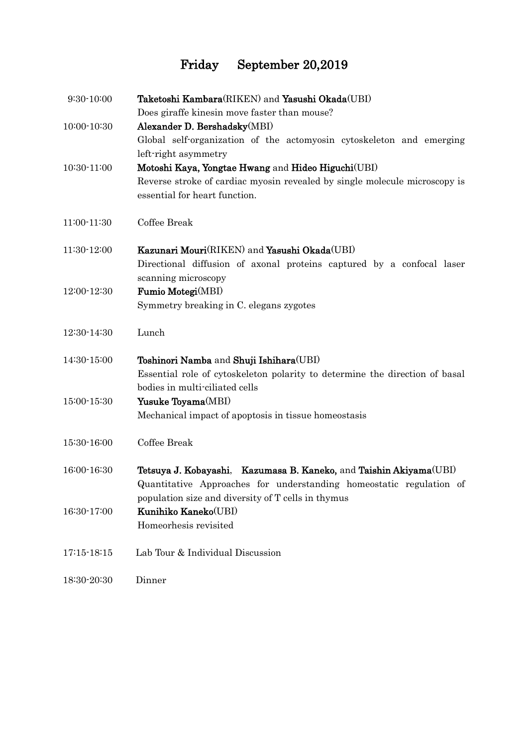# Friday September 20,2019

| $9:30-10:00$    | Taketoshi Kambara(RIKEN) and Yasushi Okada(UBI)                             |
|-----------------|-----------------------------------------------------------------------------|
|                 | Does giraffe kinesin move faster than mouse?                                |
| 10:00-10:30     | Alexander D. Bershadsky(MBI)                                                |
|                 | Global self-organization of the actomyosin cytoskeleton and emerging        |
|                 | left-right asymmetry                                                        |
| 10:30-11:00     | Motoshi Kaya, Yongtae Hwang and Hideo Higuchi(UBI)                          |
|                 | Reverse stroke of cardiac myosin revealed by single molecule microscopy is  |
|                 | essential for heart function.                                               |
| 11:00-11:30     | Coffee Break                                                                |
| 11:30-12:00     | Kazunari Mouri(RIKEN) and Yasushi Okada(UBI)                                |
|                 | Directional diffusion of axonal proteins captured by a confocal laser       |
|                 | scanning microscopy                                                         |
| 12:00-12:30     | Fumio Motegi(MBI)                                                           |
|                 | Symmetry breaking in C. elegans zygotes                                     |
| 12:30-14:30     | Lunch                                                                       |
| 14:30-15:00     | Toshinori Namba and Shuji Ishihara(UBI)                                     |
|                 | Essential role of cytoskeleton polarity to determine the direction of basal |
|                 | bodies in multi-ciliated cells                                              |
| 15:00-15:30     | Yusuke Toyama(MBI)                                                          |
|                 | Mechanical impact of apoptosis in tissue homeostasis                        |
| 15:30-16:00     | Coffee Break                                                                |
| 16:00-16:30     | Tetsuya J. Kobayashi, Kazumasa B. Kaneko, and Taishin Akiyama (UBI)         |
|                 | Quantitative Approaches for understanding homeostatic regulation of         |
|                 | population size and diversity of T cells in thymus                          |
| 16:30-17:00     | Kunihiko Kaneko(UBI)                                                        |
|                 | Homeorhesis revisited                                                       |
| $17:15 - 18:15$ | Lab Tour & Individual Discussion                                            |
| 18:30-20:30     | Dinner                                                                      |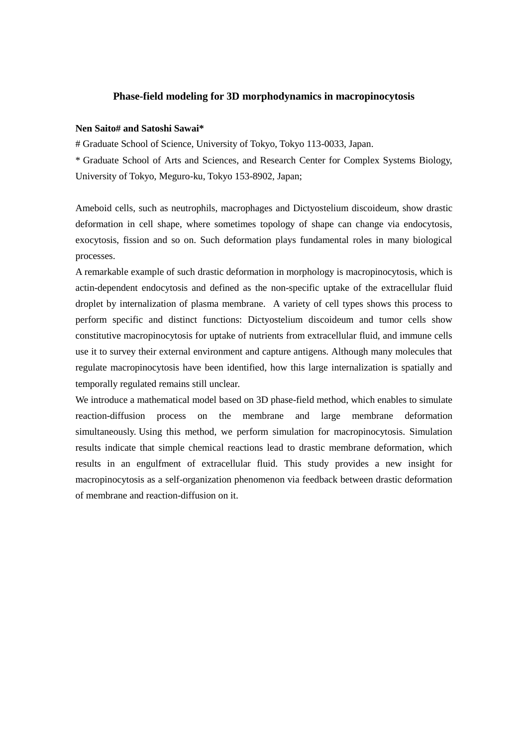#### **Phase-field modeling for 3D morphodynamics in macropinocytosis**

#### **Nen Saito# and Satoshi Sawai\***

# Graduate School of Science, University of Tokyo, Tokyo 113-0033, Japan.

\* Graduate School of Arts and Sciences, and Research Center for Complex Systems Biology, University of Tokyo, Meguro-ku, Tokyo 153-8902, Japan;

Ameboid cells, such as neutrophils, macrophages and Dictyostelium discoideum, show drastic deformation in cell shape, where sometimes topology of shape can change via endocytosis, exocytosis, fission and so on. Such deformation plays fundamental roles in many biological processes.

A remarkable example of such drastic deformation in morphology is macropinocytosis, which is actin-dependent endocytosis and defined as the non-specific uptake of the extracellular fluid droplet by internalization of plasma membrane. A variety of cell types shows this process to perform specific and distinct functions: Dictyostelium discoideum and tumor cells show constitutive macropinocytosis for uptake of nutrients from extracellular fluid, and immune cells use it to survey their external environment and capture antigens. Although many molecules that regulate macropinocytosis have been identified, how this large internalization is spatially and temporally regulated remains still unclear.

We introduce a mathematical model based on 3D phase-field method, which enables to simulate reaction-diffusion process on the membrane and large membrane deformation simultaneously. Using this method, we perform simulation for macropinocytosis. Simulation results indicate that simple chemical reactions lead to drastic membrane deformation, which results in an engulfment of extracellular fluid. This study provides a new insight for macropinocytosis as a self-organization phenomenon via feedback between drastic deformation of membrane and reaction-diffusion on it.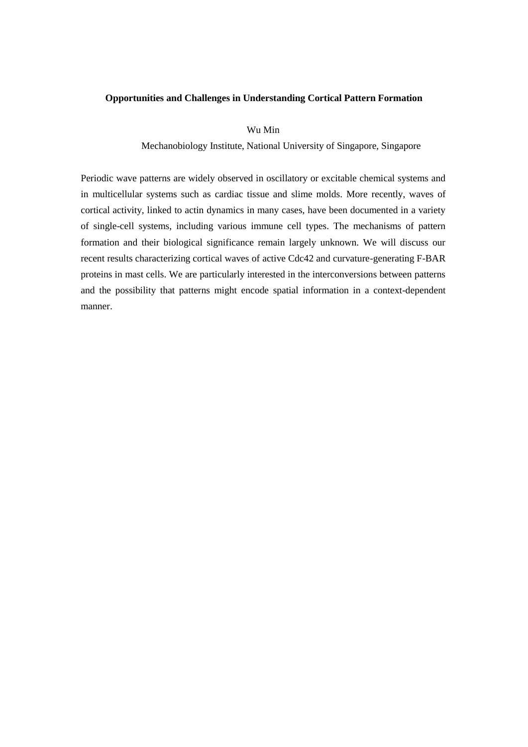#### **Opportunities and Challenges in Understanding Cortical Pattern Formation**

#### Wu Min

Mechanobiology Institute, National University of Singapore, Singapore

Periodic wave patterns are widely observed in oscillatory or excitable chemical systems and in multicellular systems such as cardiac tissue and slime molds. More recently, waves of cortical activity, linked to actin dynamics in many cases, have been documented in a variety of single-cell systems, including various immune cell types. The mechanisms of pattern formation and their biological significance remain largely unknown. We will discuss our recent results characterizing cortical waves of active Cdc42 and curvature-generating F-BAR proteins in mast cells. We are particularly interested in the interconversions between patterns and the possibility that patterns might encode spatial information in a context-dependent manner.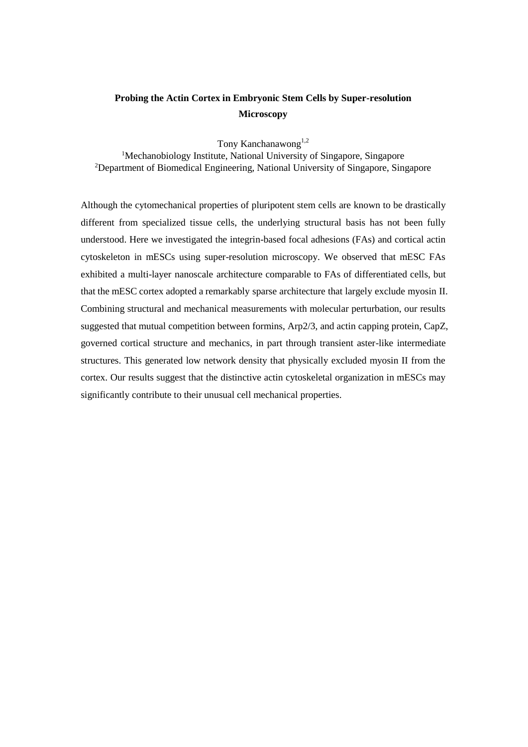### **Probing the Actin Cortex in Embryonic Stem Cells by Super-resolution Microscopy**

Tony Kanchanawong<sup>1,2</sup> <sup>1</sup>Mechanobiology Institute, National University of Singapore, Singapore <sup>2</sup>Department of Biomedical Engineering, National University of Singapore, Singapore

Although the cytomechanical properties of pluripotent stem cells are known to be drastically different from specialized tissue cells, the underlying structural basis has not been fully understood. Here we investigated the integrin-based focal adhesions (FAs) and cortical actin cytoskeleton in mESCs using super-resolution microscopy. We observed that mESC FAs exhibited a multi-layer nanoscale architecture comparable to FAs of differentiated cells, but that the mESC cortex adopted a remarkably sparse architecture that largely exclude myosin II. Combining structural and mechanical measurements with molecular perturbation, our results suggested that mutual competition between formins, Arp2/3, and actin capping protein, CapZ, governed cortical structure and mechanics, in part through transient aster-like intermediate structures. This generated low network density that physically excluded myosin II from the cortex. Our results suggest that the distinctive actin cytoskeletal organization in mESCs may significantly contribute to their unusual cell mechanical properties.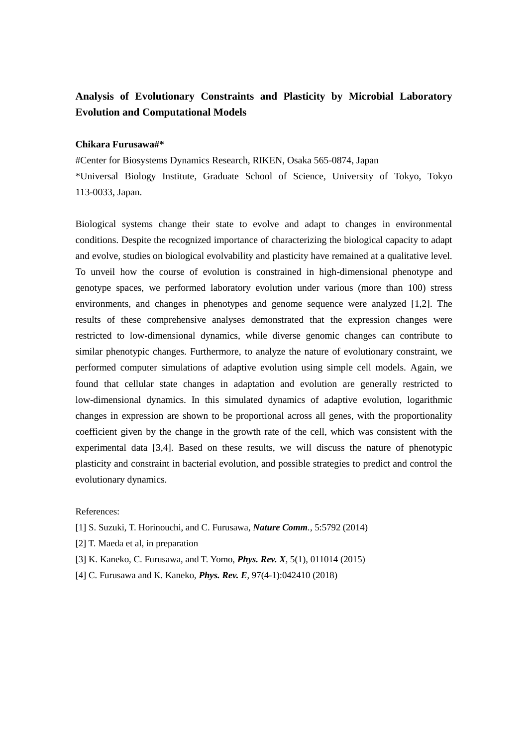### **Analysis of Evolutionary Constraints and Plasticity by Microbial Laboratory Evolution and Computational Models**

#### **Chikara Furusawa#\***

#Center for Biosystems Dynamics Research, RIKEN, Osaka 565-0874, Japan \*Universal Biology Institute, Graduate School of Science, University of Tokyo, Tokyo 113-0033, Japan.

Biological systems change their state to evolve and adapt to changes in environmental conditions. Despite the recognized importance of characterizing the biological capacity to adapt and evolve, studies on biological evolvability and plasticity have remained at a qualitative level. To unveil how the course of evolution is constrained in high-dimensional phenotype and genotype spaces, we performed laboratory evolution under various (more than 100) stress environments, and changes in phenotypes and genome sequence were analyzed [1,2]. The results of these comprehensive analyses demonstrated that the expression changes were restricted to low-dimensional dynamics, while diverse genomic changes can contribute to similar phenotypic changes. Furthermore, to analyze the nature of evolutionary constraint, we performed computer simulations of adaptive evolution using simple cell models. Again, we found that cellular state changes in adaptation and evolution are generally restricted to low-dimensional dynamics. In this simulated dynamics of adaptive evolution, logarithmic changes in expression are shown to be proportional across all genes, with the proportionality coefficient given by the change in the growth rate of the cell, which was consistent with the experimental data [3,4]. Based on these results, we will discuss the nature of phenotypic plasticity and constraint in bacterial evolution, and possible strategies to predict and control the evolutionary dynamics.

References:

- [1] S. Suzuki, T. Horinouchi, and C. Furusawa, *Nature Comm.*, 5:5792 (2014)
- [2] T. Maeda et al, in preparation
- [3] K. Kaneko, C. Furusawa, and T. Yomo, *Phys. Rev. X*, 5(1), 011014 (2015)
- [4] C. Furusawa and K. Kaneko, *Phys. Rev. E*, 97(4-1):042410 (2018)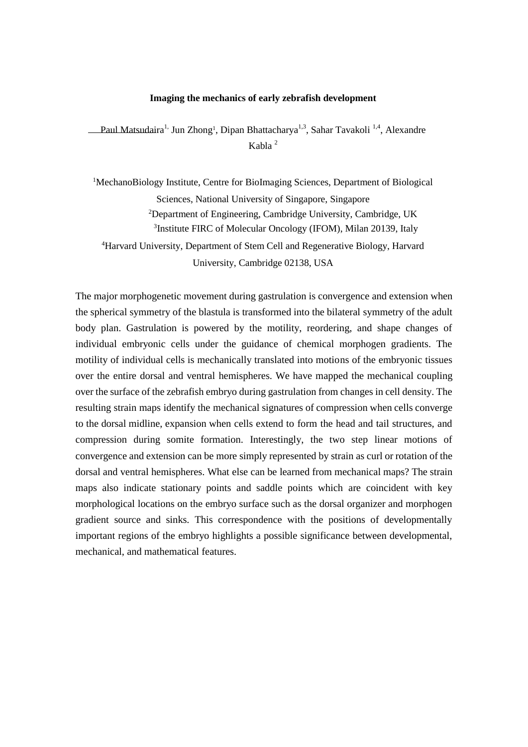#### **Imaging the mechanics of early zebrafish development**

Paul Matsudaira<sup>1,</sup> Jun Zhong<sup>1</sup>, Dipan Bhattacharya<sup>1,3</sup>, Sahar Tavakoli<sup>1,4</sup>, Alexandre  $K$ ahla  $^2$ 

<sup>1</sup>MechanoBiology Institute, Centre for BioImaging Sciences, Department of Biological Sciences, National University of Singapore, Singapore <sup>2</sup>Department of Engineering, Cambridge University, Cambridge, UK <sup>3</sup>Institute FIRC of Molecular Oncology (IFOM), Milan 20139, Italy <sup>4</sup>Harvard University, Department of Stem Cell and Regenerative Biology, Harvard University, Cambridge 02138, USA

The major morphogenetic movement during gastrulation is convergence and extension when the spherical symmetry of the blastula is transformed into the bilateral symmetry of the adult body plan. Gastrulation is powered by the motility, reordering, and shape changes of individual embryonic cells under the guidance of chemical morphogen gradients. The motility of individual cells is mechanically translated into motions of the embryonic tissues over the entire dorsal and ventral hemispheres. We have mapped the mechanical coupling over the surface of the zebrafish embryo during gastrulation from changes in cell density. The resulting strain maps identify the mechanical signatures of compression when cells converge to the dorsal midline, expansion when cells extend to form the head and tail structures, and compression during somite formation. Interestingly, the two step linear motions of convergence and extension can be more simply represented by strain as curl or rotation of the dorsal and ventral hemispheres. What else can be learned from mechanical maps? The strain maps also indicate stationary points and saddle points which are coincident with key morphological locations on the embryo surface such as the dorsal organizer and morphogen gradient source and sinks. This correspondence with the positions of developmentally important regions of the embryo highlights a possible significance between developmental, mechanical, and mathematical features.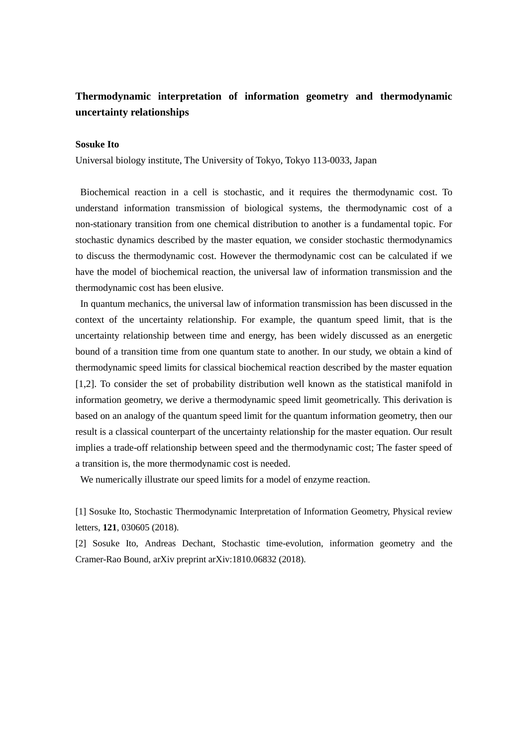### **Thermodynamic interpretation of information geometry and thermodynamic uncertainty relationships**

#### **Sosuke Ito**

Universal biology institute, The University of Tokyo, Tokyo 113-0033, Japan

Biochemical reaction in a cell is stochastic, and it requires the thermodynamic cost. To understand information transmission of biological systems, the thermodynamic cost of a non-stationary transition from one chemical distribution to another is a fundamental topic. For stochastic dynamics described by the master equation, we consider stochastic thermodynamics to discuss the thermodynamic cost. However the thermodynamic cost can be calculated if we have the model of biochemical reaction, the universal law of information transmission and the thermodynamic cost has been elusive.

In quantum mechanics, the universal law of information transmission has been discussed in the context of the uncertainty relationship. For example, the quantum speed limit, that is the uncertainty relationship between time and energy, has been widely discussed as an energetic bound of a transition time from one quantum state to another. In our study, we obtain a kind of thermodynamic speed limits for classical biochemical reaction described by the master equation [1,2]. To consider the set of probability distribution well known as the statistical manifold in information geometry, we derive a thermodynamic speed limit geometrically. This derivation is based on an analogy of the quantum speed limit for the quantum information geometry, then our result is a classical counterpart of the uncertainty relationship for the master equation. Our result implies a trade-off relationship between speed and the thermodynamic cost; The faster speed of a transition is, the more thermodynamic cost is needed.

We numerically illustrate our speed limits for a model of enzyme reaction.

[1] Sosuke Ito, Stochastic Thermodynamic Interpretation of Information Geometry, Physical review letters, **121**, 030605 (2018).

[2] Sosuke Ito, Andreas Dechant, Stochastic time-evolution, information geometry and the Cramer-Rao Bound, arXiv preprint arXiv:1810.06832 (2018).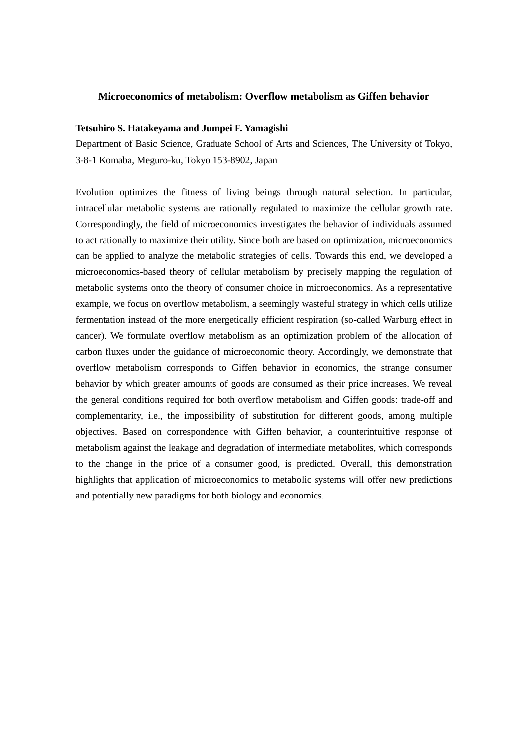#### **Microeconomics of metabolism: Overflow metabolism as Giffen behavior**

#### **Tetsuhiro S. Hatakeyama and Jumpei F. Yamagishi**

Department of Basic Science, Graduate School of Arts and Sciences, The University of Tokyo, 3-8-1 Komaba, Meguro-ku, Tokyo 153-8902, Japan

Evolution optimizes the fitness of living beings through natural selection. In particular, intracellular metabolic systems are rationally regulated to maximize the cellular growth rate. Correspondingly, the field of microeconomics investigates the behavior of individuals assumed to act rationally to maximize their utility. Since both are based on optimization, microeconomics can be applied to analyze the metabolic strategies of cells. Towards this end, we developed a microeconomics-based theory of cellular metabolism by precisely mapping the regulation of metabolic systems onto the theory of consumer choice in microeconomics. As a representative example, we focus on overflow metabolism, a seemingly wasteful strategy in which cells utilize fermentation instead of the more energetically efficient respiration (so-called Warburg effect in cancer). We formulate overflow metabolism as an optimization problem of the allocation of carbon fluxes under the guidance of microeconomic theory. Accordingly, we demonstrate that overflow metabolism corresponds to Giffen behavior in economics, the strange consumer behavior by which greater amounts of goods are consumed as their price increases. We reveal the general conditions required for both overflow metabolism and Giffen goods: trade-off and complementarity, i.e., the impossibility of substitution for different goods, among multiple objectives. Based on correspondence with Giffen behavior, a counterintuitive response of metabolism against the leakage and degradation of intermediate metabolites, which corresponds to the change in the price of a consumer good, is predicted. Overall, this demonstration highlights that application of microeconomics to metabolic systems will offer new predictions and potentially new paradigms for both biology and economics.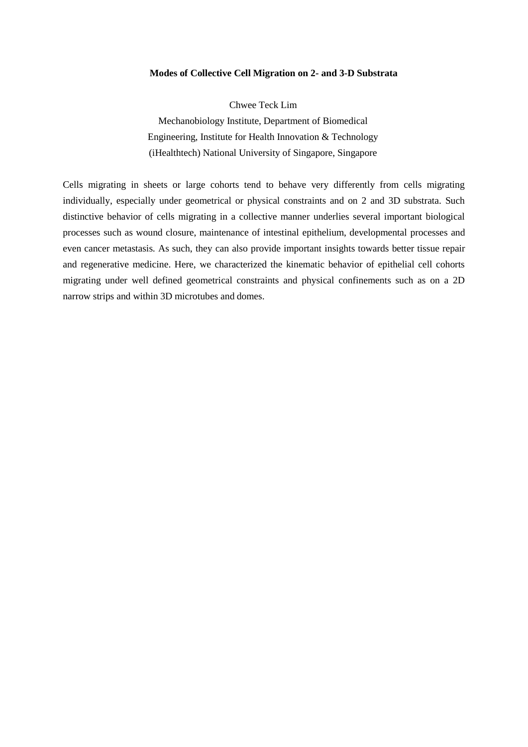#### **Modes of Collective Cell Migration on 2- and 3-D Substrata**

Chwee Teck Lim

Mechanobiology Institute, Department of Biomedical Engineering, Institute for Health Innovation & Technology (iHealthtech) National University of Singapore, Singapore

Cells migrating in sheets or large cohorts tend to behave very differently from cells migrating individually, especially under geometrical or physical constraints and on 2 and 3D substrata. Such distinctive behavior of cells migrating in a collective manner underlies several important biological processes such as wound closure, maintenance of intestinal epithelium, developmental processes and even cancer metastasis. As such, they can also provide important insights towards better tissue repair and regenerative medicine. Here, we characterized the kinematic behavior of epithelial cell cohorts migrating under well defined geometrical constraints and physical confinements such as on a 2D narrow strips and within 3D microtubes and domes.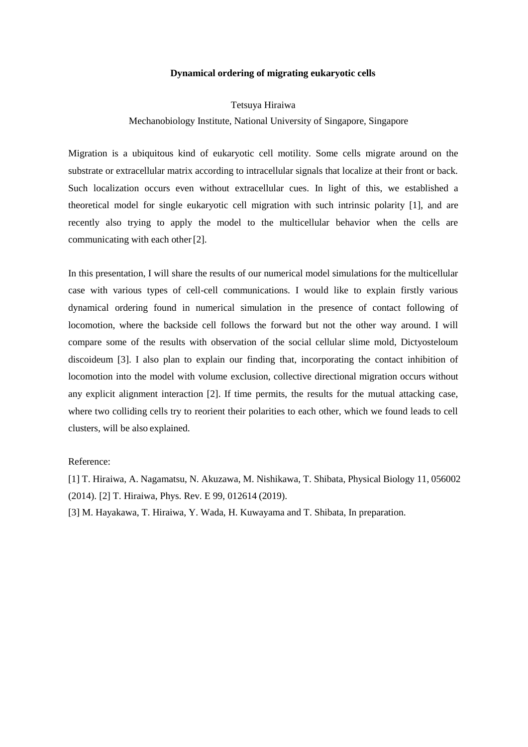#### **Dynamical ordering of migrating eukaryotic cells**

#### Tetsuya Hiraiwa

#### Mechanobiology Institute, National University of Singapore, Singapore

Migration is a ubiquitous kind of eukaryotic cell motility. Some cells migrate around on the substrate or extracellular matrix according to intracellular signals that localize at their front or back. Such localization occurs even without extracellular cues. In light of this, we established a theoretical model for single eukaryotic cell migration with such intrinsic polarity [1], and are recently also trying to apply the model to the multicellular behavior when the cells are communicating with each other[2].

In this presentation, I will share the results of our numerical model simulations for the multicellular case with various types of cell-cell communications. I would like to explain firstly various dynamical ordering found in numerical simulation in the presence of contact following of locomotion, where the backside cell follows the forward but not the other way around. I will compare some of the results with observation of the social cellular slime mold, Dictyosteloum discoideum [3]. I also plan to explain our finding that, incorporating the contact inhibition of locomotion into the model with volume exclusion, collective directional migration occurs without any explicit alignment interaction [2]. If time permits, the results for the mutual attacking case, where two colliding cells try to reorient their polarities to each other, which we found leads to cell clusters, will be also explained.

#### Reference:

- [1] T. Hiraiwa, A. Nagamatsu, N. Akuzawa, M. Nishikawa, T. Shibata, Physical Biology 11, 056002 (2014). [2] T. Hiraiwa, Phys. Rev. E 99, 012614 (2019).
- [3] M. Hayakawa, T. Hiraiwa, Y. Wada, H. Kuwayama and T. Shibata, In preparation.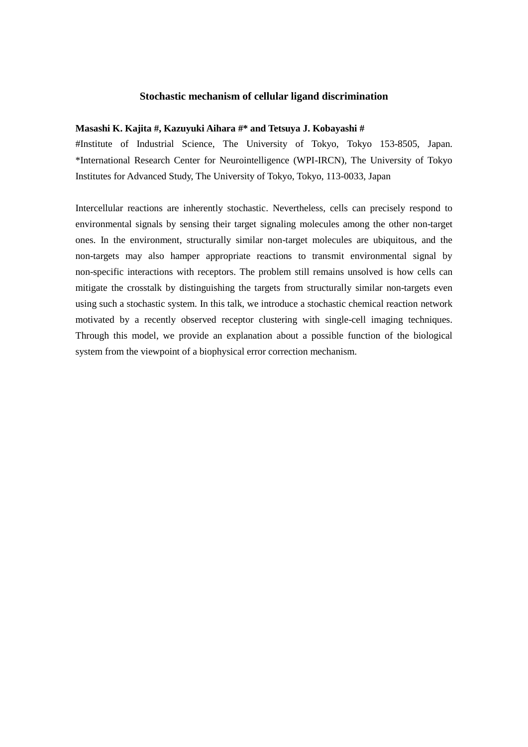#### **Stochastic mechanism of cellular ligand discrimination**

#### **Masashi K. Kajita #, Kazuyuki Aihara #\* and Tetsuya J. Kobayashi #**

#Institute of Industrial Science, The University of Tokyo, Tokyo 153-8505, Japan. \*International Research Center for Neurointelligence (WPI-IRCN), The University of Tokyo Institutes for Advanced Study, The University of Tokyo, Tokyo, 113-0033, Japan

Intercellular reactions are inherently stochastic. Nevertheless, cells can precisely respond to environmental signals by sensing their target signaling molecules among the other non-target ones. In the environment, structurally similar non-target molecules are ubiquitous, and the non-targets may also hamper appropriate reactions to transmit environmental signal by non-specific interactions with receptors. The problem still remains unsolved is how cells can mitigate the crosstalk by distinguishing the targets from structurally similar non-targets even using such a stochastic system. In this talk, we introduce a stochastic chemical reaction network motivated by a recently observed receptor clustering with single-cell imaging techniques. Through this model, we provide an explanation about a possible function of the biological system from the viewpoint of a biophysical error correction mechanism.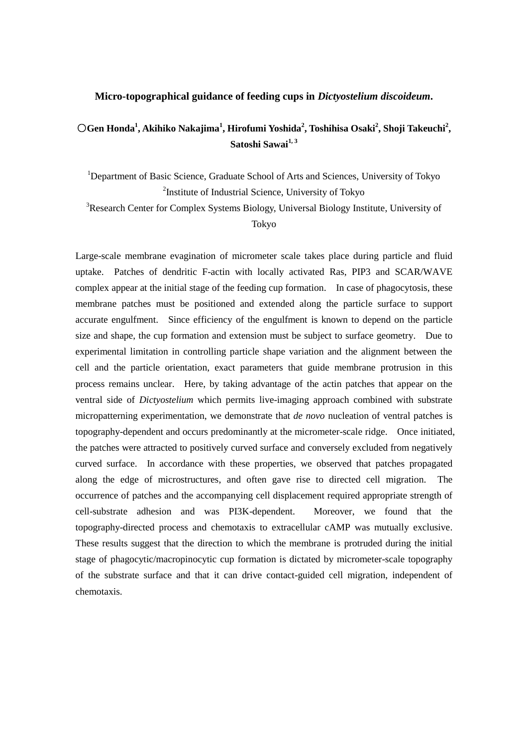#### **Micro-topographical guidance of feeding cups in** *Dictyostelium discoideum***.**

### ○**Gen Honda<sup>1</sup> , Akihiko Nakajima<sup>1</sup> , Hirofumi Yoshida<sup>2</sup> , Toshihisa Osaki<sup>2</sup> , Shoji Takeuchi<sup>2</sup> , Satoshi Sawai1, 3**

<sup>1</sup>Department of Basic Science, Graduate School of Arts and Sciences, University of Tokyo <sup>2</sup>Institute of Industrial Science, University of Tokyo

<sup>3</sup>Research Center for Complex Systems Biology, Universal Biology Institute, University of Tokyo

Large-scale membrane evagination of micrometer scale takes place during particle and fluid uptake. Patches of dendritic F-actin with locally activated Ras, PIP3 and SCAR/WAVE complex appear at the initial stage of the feeding cup formation. In case of phagocytosis, these membrane patches must be positioned and extended along the particle surface to support accurate engulfment. Since efficiency of the engulfment is known to depend on the particle size and shape, the cup formation and extension must be subject to surface geometry. Due to experimental limitation in controlling particle shape variation and the alignment between the cell and the particle orientation, exact parameters that guide membrane protrusion in this process remains unclear. Here, by taking advantage of the actin patches that appear on the ventral side of *Dictyostelium* which permits live-imaging approach combined with substrate micropatterning experimentation, we demonstrate that *de novo* nucleation of ventral patches is topography-dependent and occurs predominantly at the micrometer-scale ridge. Once initiated, the patches were attracted to positively curved surface and conversely excluded from negatively curved surface. In accordance with these properties, we observed that patches propagated along the edge of microstructures, and often gave rise to directed cell migration. The occurrence of patches and the accompanying cell displacement required appropriate strength of cell-substrate adhesion and was PI3K-dependent. Moreover, we found that the topography-directed process and chemotaxis to extracellular cAMP was mutually exclusive. These results suggest that the direction to which the membrane is protruded during the initial stage of phagocytic/macropinocytic cup formation is dictated by micrometer-scale topography of the substrate surface and that it can drive contact-guided cell migration, independent of chemotaxis.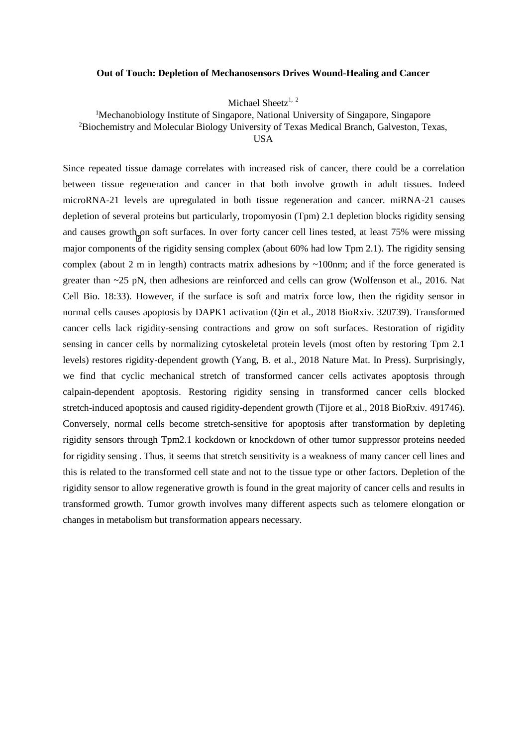#### **Out of Touch: Depletion of Mechanosensors Drives Wound-Healing and Cancer**

Michael Sheetz<sup>1, 2</sup>

<sup>1</sup>Mechanobiology Institute of Singapore, National University of Singapore, Singapore <sup>2</sup>Biochemistry and Molecular Biology University of Texas Medical Branch, Galveston, Texas,

USA

Since repeated tissue damage correlates with increased risk of cancer, there could be a correlation between tissue regeneration and cancer in that both involve growth in adult tissues. Indeed microRNA-21 levels are upregulated in both tissue regeneration and cancer. miRNA-21 causes depletion of several proteins but particularly, tropomyosin (Tpm) 2.1 depletion blocks rigidity sensing and causes growth<sub>p</sub>on soft surfaces. In over forty cancer cell lines tested, at least 75% were missing major components of the rigidity sensing complex (about 60% had low Tpm 2.1). The rigidity sensing complex (about 2 m in length) contracts matrix adhesions by  $\sim$ 100nm; and if the force generated is greater than ~25 pN, then adhesions are reinforced and cells can grow (Wolfenson et al., 2016. Nat Cell Bio. 18:33). However, if the surface is soft and matrix force low, then the rigidity sensor in normal cells causes apoptosis by DAPK1 activation (Qin et al., 2018 BioRxiv. 320739). Transformed cancer cells lack rigidity-sensing contractions and grow on soft surfaces. Restoration of rigidity sensing in cancer cells by normalizing cytoskeletal protein levels (most often by restoring Tpm 2.1 levels) restores rigidity-dependent growth (Yang, B. et al., 2018 Nature Mat. In Press). Surprisingly, we find that cyclic mechanical stretch of transformed cancer cells activates apoptosis through calpain-dependent apoptosis. Restoring rigidity sensing in transformed cancer cells blocked stretch-induced apoptosis and caused rigidity-dependent growth (Tijore et al., 2018 BioRxiv. 491746). Conversely, normal cells become stretch-sensitive for apoptosis after transformation by depleting rigidity sensors through Tpm2.1 kockdown or knockdown of other tumor suppressor proteins needed for rigidity sensing . Thus, it seems that stretch sensitivity is a weakness of many cancer cell lines and this is related to the transformed cell state and not to the tissue type or other factors. Depletion of the rigidity sensor to allow regenerative growth is found in the great majority of cancer cells and results in transformed growth. Tumor growth involves many different aspects such as telomere elongation or changes in metabolism but transformation appears necessary.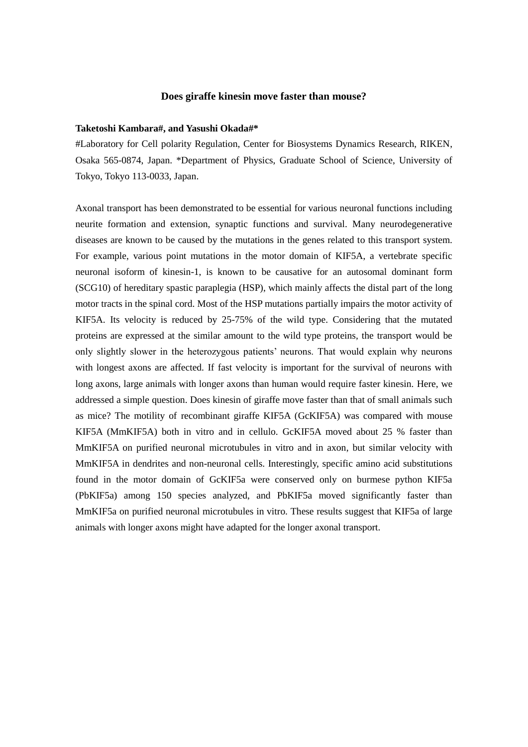#### **Does giraffe kinesin move faster than mouse?**

#### **Taketoshi Kambara#, and Yasushi Okada#\***

#Laboratory for Cell polarity Regulation, Center for Biosystems Dynamics Research, RIKEN, Osaka 565-0874, Japan. \*Department of Physics, Graduate School of Science, University of Tokyo, Tokyo 113-0033, Japan.

Axonal transport has been demonstrated to be essential for various neuronal functions including neurite formation and extension, synaptic functions and survival. Many neurodegenerative diseases are known to be caused by the mutations in the genes related to this transport system. For example, various point mutations in the motor domain of KIF5A, a vertebrate specific neuronal isoform of kinesin-1, is known to be causative for an autosomal dominant form (SCG10) of hereditary spastic paraplegia (HSP), which mainly affects the distal part of the long motor tracts in the spinal cord. Most of the HSP mutations partially impairs the motor activity of KIF5A. Its velocity is reduced by 25-75% of the wild type. Considering that the mutated proteins are expressed at the similar amount to the wild type proteins, the transport would be only slightly slower in the heterozygous patients' neurons. That would explain why neurons with longest axons are affected. If fast velocity is important for the survival of neurons with long axons, large animals with longer axons than human would require faster kinesin. Here, we addressed a simple question. Does kinesin of giraffe move faster than that of small animals such as mice? The motility of recombinant giraffe KIF5A (GcKIF5A) was compared with mouse KIF5A (MmKIF5A) both in vitro and in cellulo. GcKIF5A moved about 25 % faster than MmKIF5A on purified neuronal microtubules in vitro and in axon, but similar velocity with MmKIF5A in dendrites and non-neuronal cells. Interestingly, specific amino acid substitutions found in the motor domain of GcKIF5a were conserved only on burmese python KIF5a (PbKIF5a) among 150 species analyzed, and PbKIF5a moved significantly faster than MmKIF5a on purified neuronal microtubules in vitro. These results suggest that KIF5a of large animals with longer axons might have adapted for the longer axonal transport.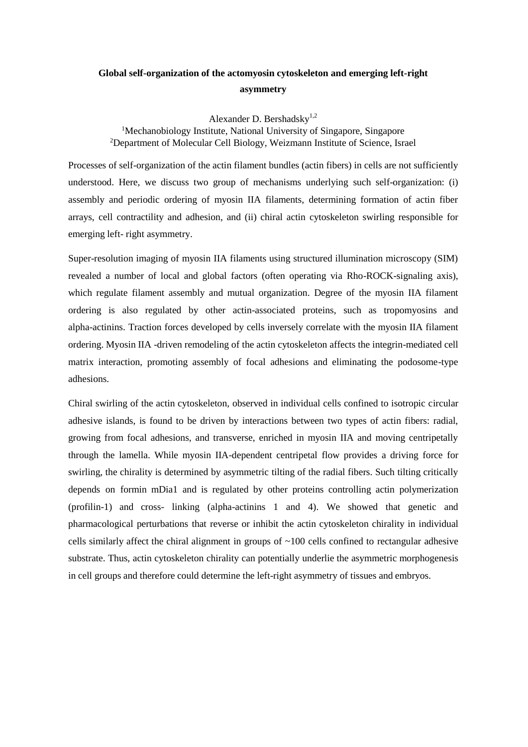### **Global self-organization of the actomyosin cytoskeleton and emerging left-right asymmetry**

Alexander D. Bershadsky $^{1,2}$ <sup>1</sup>Mechanobiology Institute, National University of Singapore, Singapore <sup>2</sup>Department of Molecular Cell Biology, Weizmann Institute of Science, Israel

Processes of self-organization of the actin filament bundles (actin fibers) in cells are not sufficiently understood. Here, we discuss two group of mechanisms underlying such self-organization: (i) assembly and periodic ordering of myosin IIA filaments, determining formation of actin fiber arrays, cell contractility and adhesion, and (ii) chiral actin cytoskeleton swirling responsible for emerging left- right asymmetry.

Super-resolution imaging of myosin IIA filaments using structured illumination microscopy (SIM) revealed a number of local and global factors (often operating via Rho-ROCK-signaling axis), which regulate filament assembly and mutual organization. Degree of the myosin IIA filament ordering is also regulated by other actin-associated proteins, such as tropomyosins and alpha-actinins. Traction forces developed by cells inversely correlate with the myosin IIA filament ordering. Myosin IIA -driven remodeling of the actin cytoskeleton affects the integrin-mediated cell matrix interaction, promoting assembly of focal adhesions and eliminating the podosome-type adhesions.

Chiral swirling of the actin cytoskeleton, observed in individual cells confined to isotropic circular adhesive islands, is found to be driven by interactions between two types of actin fibers: radial, growing from focal adhesions, and transverse, enriched in myosin IIA and moving centripetally through the lamella. While myosin IIA-dependent centripetal flow provides a driving force for swirling, the chirality is determined by asymmetric tilting of the radial fibers. Such tilting critically depends on formin mDia1 and is regulated by other proteins controlling actin polymerization (profilin-1) and cross- linking (alpha-actinins 1 and 4). We showed that genetic and pharmacological perturbations that reverse or inhibit the actin cytoskeleton chirality in individual cells similarly affect the chiral alignment in groups of  $\sim$ 100 cells confined to rectangular adhesive substrate. Thus, actin cytoskeleton chirality can potentially underlie the asymmetric morphogenesis in cell groups and therefore could determine the left-right asymmetry of tissues and embryos.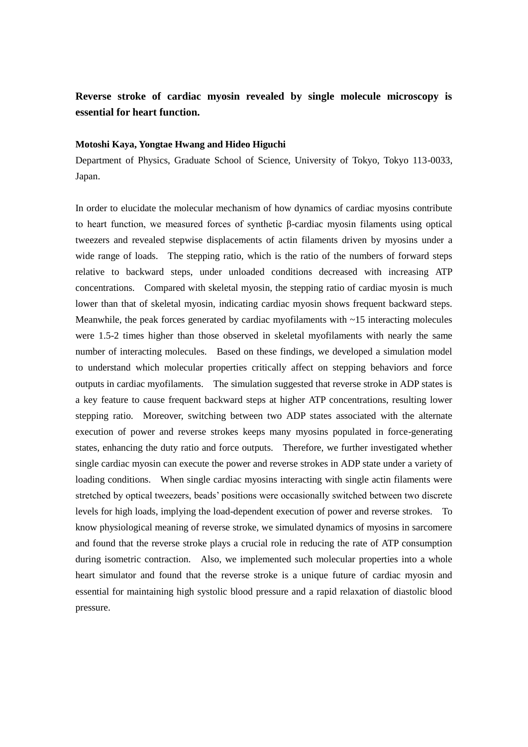### **Reverse stroke of cardiac myosin revealed by single molecule microscopy is essential for heart function.**

#### **Motoshi Kaya, Yongtae Hwang and Hideo Higuchi**

Department of Physics, Graduate School of Science, University of Tokyo, Tokyo 113-0033, Japan.

In order to elucidate the molecular mechanism of how dynamics of cardiac myosins contribute to heart function, we measured forces of synthetic β-cardiac myosin filaments using optical tweezers and revealed stepwise displacements of actin filaments driven by myosins under a wide range of loads. The stepping ratio, which is the ratio of the numbers of forward steps relative to backward steps, under unloaded conditions decreased with increasing ATP concentrations. Compared with skeletal myosin, the stepping ratio of cardiac myosin is much lower than that of skeletal myosin, indicating cardiac myosin shows frequent backward steps. Meanwhile, the peak forces generated by cardiac myofilaments with ~15 interacting molecules were 1.5-2 times higher than those observed in skeletal myofilaments with nearly the same number of interacting molecules. Based on these findings, we developed a simulation model to understand which molecular properties critically affect on stepping behaviors and force outputs in cardiac myofilaments. The simulation suggested that reverse stroke in ADP states is a key feature to cause frequent backward steps at higher ATP concentrations, resulting lower stepping ratio. Moreover, switching between two ADP states associated with the alternate execution of power and reverse strokes keeps many myosins populated in force-generating states, enhancing the duty ratio and force outputs. Therefore, we further investigated whether single cardiac myosin can execute the power and reverse strokes in ADP state under a variety of loading conditions. When single cardiac myosins interacting with single actin filaments were stretched by optical tweezers, beads' positions were occasionally switched between two discrete levels for high loads, implying the load-dependent execution of power and reverse strokes. To know physiological meaning of reverse stroke, we simulated dynamics of myosins in sarcomere and found that the reverse stroke plays a crucial role in reducing the rate of ATP consumption during isometric contraction. Also, we implemented such molecular properties into a whole heart simulator and found that the reverse stroke is a unique future of cardiac myosin and essential for maintaining high systolic blood pressure and a rapid relaxation of diastolic blood pressure.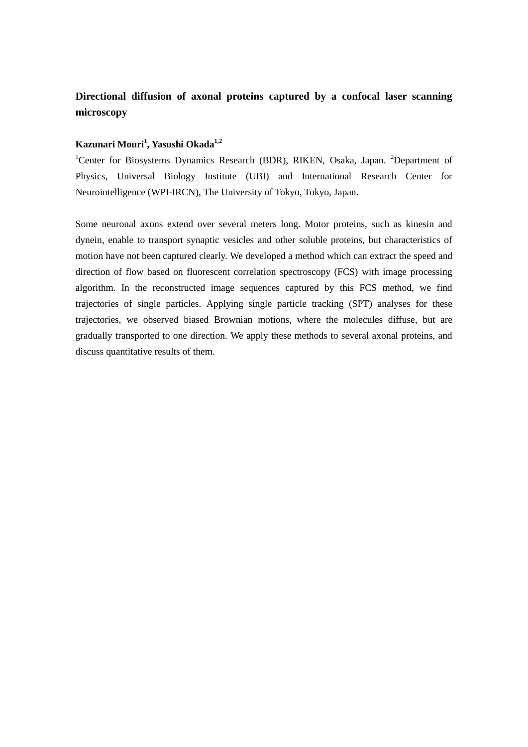### **Directional diffusion of axonal proteins captured by a confocal laser scanning microscopy**

#### **Kazunari Mouri<sup>1</sup> , Yasushi Okada1,2**

<sup>1</sup>Center for Biosystems Dynamics Research (BDR), RIKEN, Osaka, Japan. <sup>2</sup>Department of Physics, Universal Biology Institute (UBI) and International Research Center for Neurointelligence (WPI-IRCN), The University of Tokyo, Tokyo, Japan.

Some neuronal axons extend over several meters long. Motor proteins, such as kinesin and dynein, enable to transport synaptic vesicles and other soluble proteins, but characteristics of motion have not been captured clearly. We developed a method which can extract the speed and direction of flow based on fluorescent correlation spectroscopy (FCS) with image processing algorithm. In the reconstructed image sequences captured by this FCS method, we find trajectories of single particles. Applying single particle tracking (SPT) analyses for these trajectories, we observed biased Brownian motions, where the molecules diffuse, but are gradually transported to one direction. We apply these methods to several axonal proteins, and discuss quantitative results of them.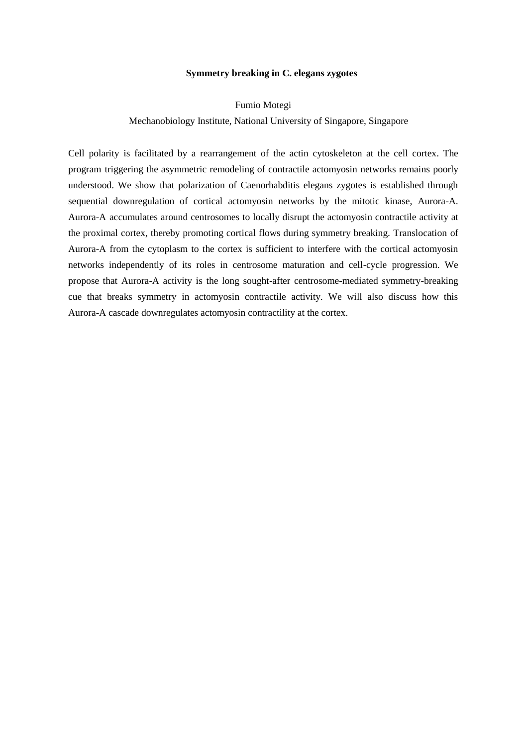#### **Symmetry breaking in C. elegans zygotes**

#### Fumio Motegi

#### Mechanobiology Institute, National University of Singapore, Singapore

Cell polarity is facilitated by a rearrangement of the actin cytoskeleton at the cell cortex. The program triggering the asymmetric remodeling of contractile actomyosin networks remains poorly understood. We show that polarization of Caenorhabditis elegans zygotes is established through sequential downregulation of cortical actomyosin networks by the mitotic kinase, Aurora-A. Aurora-A accumulates around centrosomes to locally disrupt the actomyosin contractile activity at the proximal cortex, thereby promoting cortical flows during symmetry breaking. Translocation of Aurora-A from the cytoplasm to the cortex is sufficient to interfere with the cortical actomyosin networks independently of its roles in centrosome maturation and cell-cycle progression. We propose that Aurora-A activity is the long sought-after centrosome-mediated symmetry-breaking cue that breaks symmetry in actomyosin contractile activity. We will also discuss how this Aurora-A cascade downregulates actomyosin contractility at the cortex.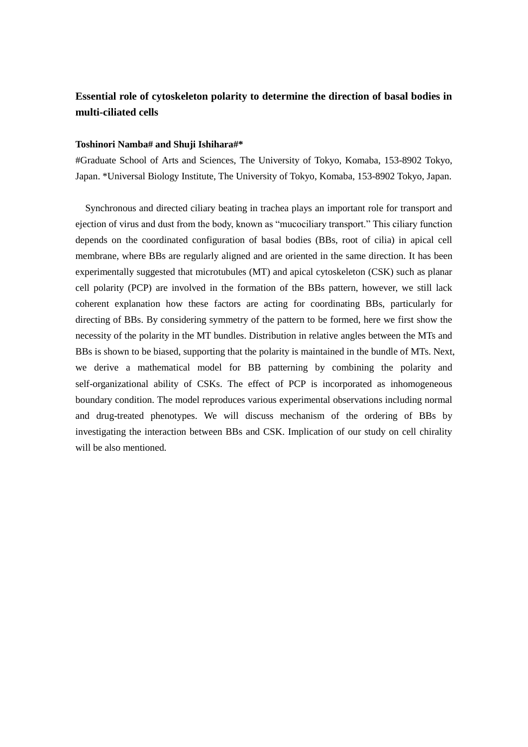### **Essential role of cytoskeleton polarity to determine the direction of basal bodies in multi-ciliated cells**

#### **Toshinori Namba# and Shuji Ishihara#\***

#Graduate School of Arts and Sciences, The University of Tokyo, Komaba, 153-8902 Tokyo, Japan. \*Universal Biology Institute, The University of Tokyo, Komaba, 153-8902 Tokyo, Japan.

Synchronous and directed ciliary beating in trachea plays an important role for transport and ejection of virus and dust from the body, known as "mucociliary transport." This ciliary function depends on the coordinated configuration of basal bodies (BBs, root of cilia) in apical cell membrane, where BBs are regularly aligned and are oriented in the same direction. It has been experimentally suggested that microtubules (MT) and apical cytoskeleton (CSK) such as planar cell polarity (PCP) are involved in the formation of the BBs pattern, however, we still lack coherent explanation how these factors are acting for coordinating BBs, particularly for directing of BBs. By considering symmetry of the pattern to be formed, here we first show the necessity of the polarity in the MT bundles. Distribution in relative angles between the MTs and BBs is shown to be biased, supporting that the polarity is maintained in the bundle of MTs. Next, we derive a mathematical model for BB patterning by combining the polarity and self-organizational ability of CSKs. The effect of PCP is incorporated as inhomogeneous boundary condition. The model reproduces various experimental observations including normal and drug-treated phenotypes. We will discuss mechanism of the ordering of BBs by investigating the interaction between BBs and CSK. Implication of our study on cell chirality will be also mentioned.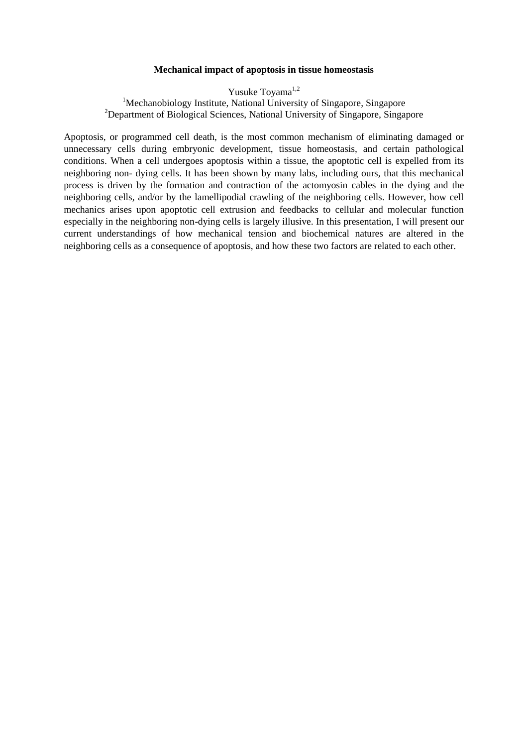#### **Mechanical impact of apoptosis in tissue homeostasis**

Yusuke Toyama<sup>1,2</sup> <sup>1</sup>Mechanobiology Institute, National University of Singapore, Singapore <sup>2</sup>Department of Biological Sciences, National University of Singapore, Singapore

Apoptosis, or programmed cell death, is the most common mechanism of eliminating damaged or unnecessary cells during embryonic development, tissue homeostasis, and certain pathological conditions. When a cell undergoes apoptosis within a tissue, the apoptotic cell is expelled from its neighboring non- dying cells. It has been shown by many labs, including ours, that this mechanical process is driven by the formation and contraction of the actomyosin cables in the dying and the neighboring cells, and/or by the lamellipodial crawling of the neighboring cells. However, how cell mechanics arises upon apoptotic cell extrusion and feedbacks to cellular and molecular function especially in the neighboring non-dying cells is largely illusive. In this presentation, I will present our current understandings of how mechanical tension and biochemical natures are altered in the neighboring cells as a consequence of apoptosis, and how these two factors are related to each other.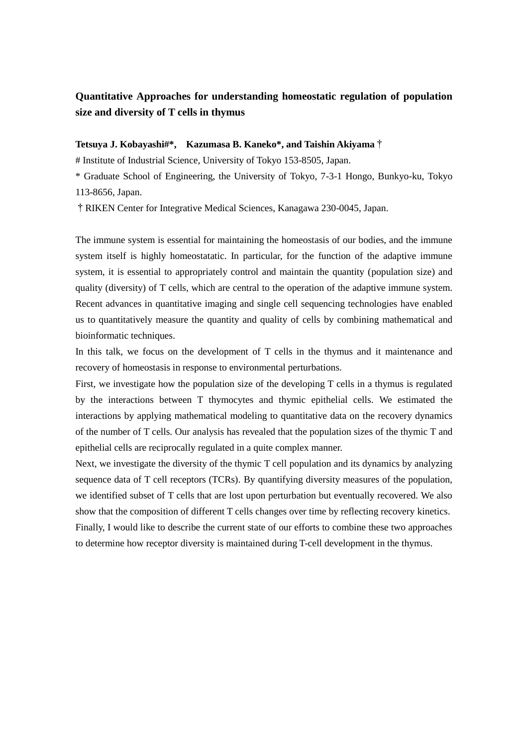### **Quantitative Approaches for understanding homeostatic regulation of population size and diversity of T cells in thymus**

#### **Tetsuya J. Kobayashi#\*, Kazumasa B. Kaneko\*, and Taishin Akiyama**†

# Institute of Industrial Science, University of Tokyo 153-8505, Japan.

\* Graduate School of Engineering, the University of Tokyo, 7-3-1 Hongo, Bunkyo-ku, Tokyo 113-8656, Japan.

†RIKEN Center for Integrative Medical Sciences, Kanagawa 230-0045, Japan.

The immune system is essential for maintaining the homeostasis of our bodies, and the immune system itself is highly homeostatatic. In particular, for the function of the adaptive immune system, it is essential to appropriately control and maintain the quantity (population size) and quality (diversity) of T cells, which are central to the operation of the adaptive immune system. Recent advances in quantitative imaging and single cell sequencing technologies have enabled us to quantitatively measure the quantity and quality of cells by combining mathematical and bioinformatic techniques.

In this talk, we focus on the development of T cells in the thymus and it maintenance and recovery of homeostasis in response to environmental perturbations.

First, we investigate how the population size of the developing T cells in a thymus is regulated by the interactions between T thymocytes and thymic epithelial cells. We estimated the interactions by applying mathematical modeling to quantitative data on the recovery dynamics of the number of T cells. Our analysis has revealed that the population sizes of the thymic T and epithelial cells are reciprocally regulated in a quite complex manner.

Next, we investigate the diversity of the thymic T cell population and its dynamics by analyzing sequence data of T cell receptors (TCRs). By quantifying diversity measures of the population, we identified subset of T cells that are lost upon perturbation but eventually recovered. We also show that the composition of different T cells changes over time by reflecting recovery kinetics. Finally, I would like to describe the current state of our efforts to combine these two approaches to determine how receptor diversity is maintained during T-cell development in the thymus.